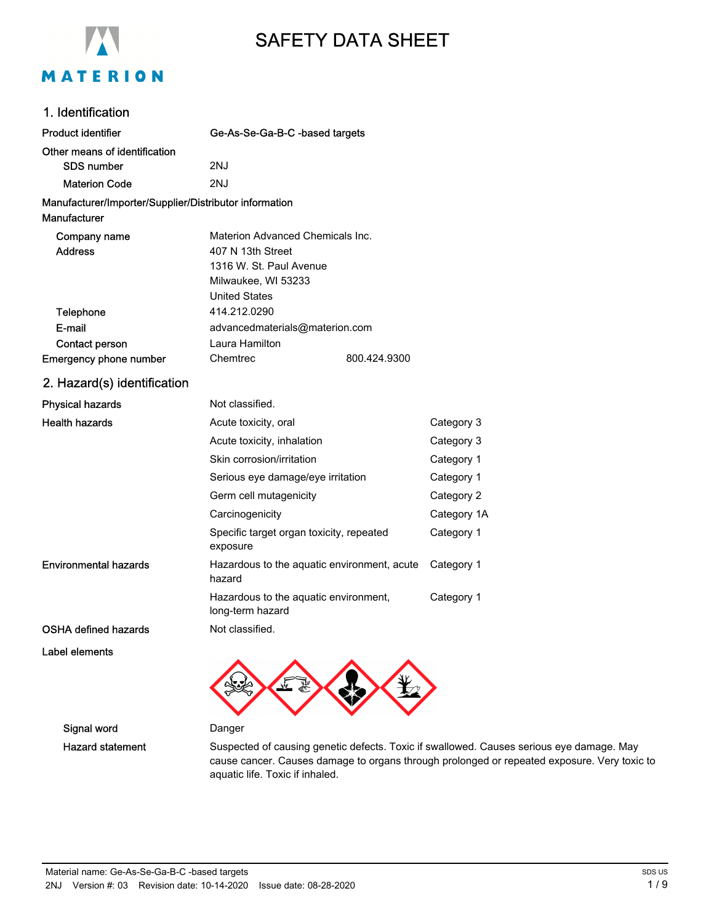

# SAFETY DATA SHEET

## 1. Identification

| <b>Product identifier</b>                              | Ge-As-Se-Ga-B-C -based targets                            |              |             |  |
|--------------------------------------------------------|-----------------------------------------------------------|--------------|-------------|--|
| Other means of identification                          |                                                           |              |             |  |
| SDS number                                             | 2NJ                                                       |              |             |  |
| <b>Materion Code</b>                                   | 2N <sub>1</sub>                                           |              |             |  |
| Manufacturer/Importer/Supplier/Distributor information |                                                           |              |             |  |
| Manufacturer                                           |                                                           |              |             |  |
| Company name                                           | Materion Advanced Chemicals Inc.                          |              |             |  |
| <b>Address</b>                                         | 407 N 13th Street                                         |              |             |  |
|                                                        | 1316 W. St. Paul Avenue                                   |              |             |  |
|                                                        | Milwaukee, WI 53233                                       |              |             |  |
|                                                        | <b>United States</b>                                      |              |             |  |
| Telephone                                              | 414.212.0290                                              |              |             |  |
| E-mail                                                 | advancedmaterials@materion.com                            |              |             |  |
| Contact person                                         | Laura Hamilton                                            |              |             |  |
| Emergency phone number                                 | Chemtrec                                                  | 800.424.9300 |             |  |
| 2. Hazard(s) identification                            |                                                           |              |             |  |
| <b>Physical hazards</b>                                | Not classified.                                           |              |             |  |
| <b>Health hazards</b>                                  | Acute toxicity, oral                                      |              | Category 3  |  |
|                                                        | Acute toxicity, inhalation                                |              | Category 3  |  |
|                                                        | Skin corrosion/irritation                                 |              | Category 1  |  |
|                                                        | Serious eye damage/eye irritation                         |              | Category 1  |  |
|                                                        | Germ cell mutagenicity                                    |              | Category 2  |  |
|                                                        | Carcinogenicity                                           |              | Category 1A |  |
|                                                        | Specific target organ toxicity, repeated<br>exposure      |              | Category 1  |  |
| <b>Environmental hazards</b>                           | Hazardous to the aquatic environment, acute<br>hazard     |              | Category 1  |  |
|                                                        | Hazardous to the aquatic environment,<br>long-term hazard |              | Category 1  |  |
| <b>OSHA defined hazards</b>                            | Not classified.                                           |              |             |  |
| Label elements                                         |                                                           |              |             |  |

P €

Signal word Danger

Hazard statement Suspected of causing genetic defects. Toxic if swallowed. Causes serious eye damage. May cause cancer. Causes damage to organs through prolonged or repeated exposure. Very toxic to aquatic life. Toxic if inhaled.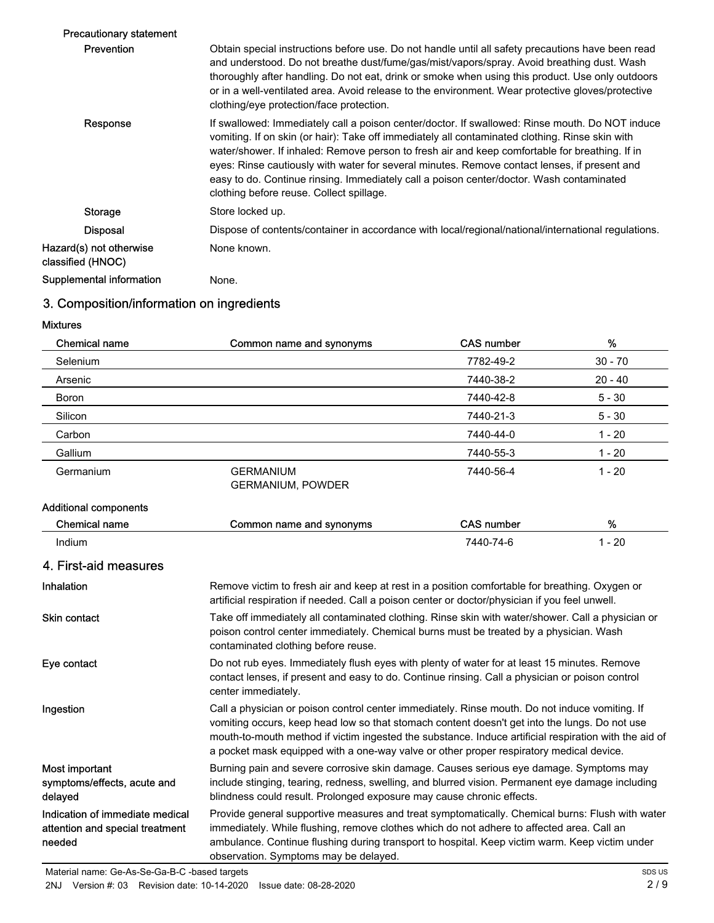| <b>Precautionary statement</b>               |                                                                                                                                                                                                                                                                                                                                                                                                                                                                                                                                              |
|----------------------------------------------|----------------------------------------------------------------------------------------------------------------------------------------------------------------------------------------------------------------------------------------------------------------------------------------------------------------------------------------------------------------------------------------------------------------------------------------------------------------------------------------------------------------------------------------------|
| Prevention                                   | Obtain special instructions before use. Do not handle until all safety precautions have been read<br>and understood. Do not breathe dust/fume/gas/mist/vapors/spray. Avoid breathing dust. Wash<br>thoroughly after handling. Do not eat, drink or smoke when using this product. Use only outdoors<br>or in a well-ventilated area. Avoid release to the environment. Wear protective gloves/protective<br>clothing/eye protection/face protection.                                                                                         |
| Response                                     | If swallowed: Immediately call a poison center/doctor. If swallowed: Rinse mouth. Do NOT induce<br>vomiting. If on skin (or hair): Take off immediately all contaminated clothing. Rinse skin with<br>water/shower. If inhaled: Remove person to fresh air and keep comfortable for breathing. If in<br>eyes: Rinse cautiously with water for several minutes. Remove contact lenses, if present and<br>easy to do. Continue rinsing. Immediately call a poison center/doctor. Wash contaminated<br>clothing before reuse. Collect spillage. |
| <b>Storage</b>                               | Store locked up.                                                                                                                                                                                                                                                                                                                                                                                                                                                                                                                             |
| <b>Disposal</b>                              | Dispose of contents/container in accordance with local/regional/national/international regulations.                                                                                                                                                                                                                                                                                                                                                                                                                                          |
| Hazard(s) not otherwise<br>classified (HNOC) | None known.                                                                                                                                                                                                                                                                                                                                                                                                                                                                                                                                  |
| Supplemental information                     | None.                                                                                                                                                                                                                                                                                                                                                                                                                                                                                                                                        |
|                                              |                                                                                                                                                                                                                                                                                                                                                                                                                                                                                                                                              |

## 3. Composition/information on ingredients

Mixtures

| <b>Chemical name</b>                                                         | Common name and synonyms                                                                                                                                                                                                                                                                                                                                                                            | <b>CAS number</b> | %         |
|------------------------------------------------------------------------------|-----------------------------------------------------------------------------------------------------------------------------------------------------------------------------------------------------------------------------------------------------------------------------------------------------------------------------------------------------------------------------------------------------|-------------------|-----------|
| Selenium                                                                     |                                                                                                                                                                                                                                                                                                                                                                                                     | 7782-49-2         | $30 - 70$ |
| Arsenic                                                                      |                                                                                                                                                                                                                                                                                                                                                                                                     | 7440-38-2         | $20 - 40$ |
| Boron                                                                        |                                                                                                                                                                                                                                                                                                                                                                                                     | 7440-42-8         | $5 - 30$  |
| Silicon                                                                      |                                                                                                                                                                                                                                                                                                                                                                                                     | 7440-21-3         | $5 - 30$  |
| Carbon                                                                       |                                                                                                                                                                                                                                                                                                                                                                                                     | 7440-44-0         | $1 - 20$  |
| Gallium                                                                      |                                                                                                                                                                                                                                                                                                                                                                                                     | 7440-55-3         | $1 - 20$  |
| Germanium                                                                    | <b>GERMANIUM</b><br><b>GERMANIUM, POWDER</b>                                                                                                                                                                                                                                                                                                                                                        | 7440-56-4         | $1 - 20$  |
| <b>Additional components</b>                                                 |                                                                                                                                                                                                                                                                                                                                                                                                     |                   |           |
| <b>Chemical name</b>                                                         | Common name and synonyms                                                                                                                                                                                                                                                                                                                                                                            | <b>CAS number</b> | %         |
| Indium                                                                       |                                                                                                                                                                                                                                                                                                                                                                                                     | 7440-74-6         | $1 - 20$  |
| 4. First-aid measures                                                        |                                                                                                                                                                                                                                                                                                                                                                                                     |                   |           |
| Inhalation                                                                   | Remove victim to fresh air and keep at rest in a position comfortable for breathing. Oxygen or<br>artificial respiration if needed. Call a poison center or doctor/physician if you feel unwell.                                                                                                                                                                                                    |                   |           |
| Skin contact                                                                 | Take off immediately all contaminated clothing. Rinse skin with water/shower. Call a physician or<br>poison control center immediately. Chemical burns must be treated by a physician. Wash<br>contaminated clothing before reuse.                                                                                                                                                                  |                   |           |
| Eye contact                                                                  | Do not rub eyes. Immediately flush eyes with plenty of water for at least 15 minutes. Remove<br>contact lenses, if present and easy to do. Continue rinsing. Call a physician or poison control<br>center immediately.                                                                                                                                                                              |                   |           |
| Ingestion                                                                    | Call a physician or poison control center immediately. Rinse mouth. Do not induce vomiting. If<br>vomiting occurs, keep head low so that stomach content doesn't get into the lungs. Do not use<br>mouth-to-mouth method if victim ingested the substance. Induce artificial respiration with the aid of<br>a pocket mask equipped with a one-way valve or other proper respiratory medical device. |                   |           |
| Most important<br>symptoms/effects, acute and<br>delayed                     | Burning pain and severe corrosive skin damage. Causes serious eye damage. Symptoms may<br>include stinging, tearing, redness, swelling, and blurred vision. Permanent eye damage including<br>blindness could result. Prolonged exposure may cause chronic effects.                                                                                                                                 |                   |           |
| Indication of immediate medical<br>attention and special treatment<br>needed | Provide general supportive measures and treat symptomatically. Chemical burns: Flush with water<br>immediately. While flushing, remove clothes which do not adhere to affected area. Call an<br>ambulance. Continue flushing during transport to hospital. Keep victim warm. Keep victim under<br>observation. Symptoms may be delayed.                                                             |                   |           |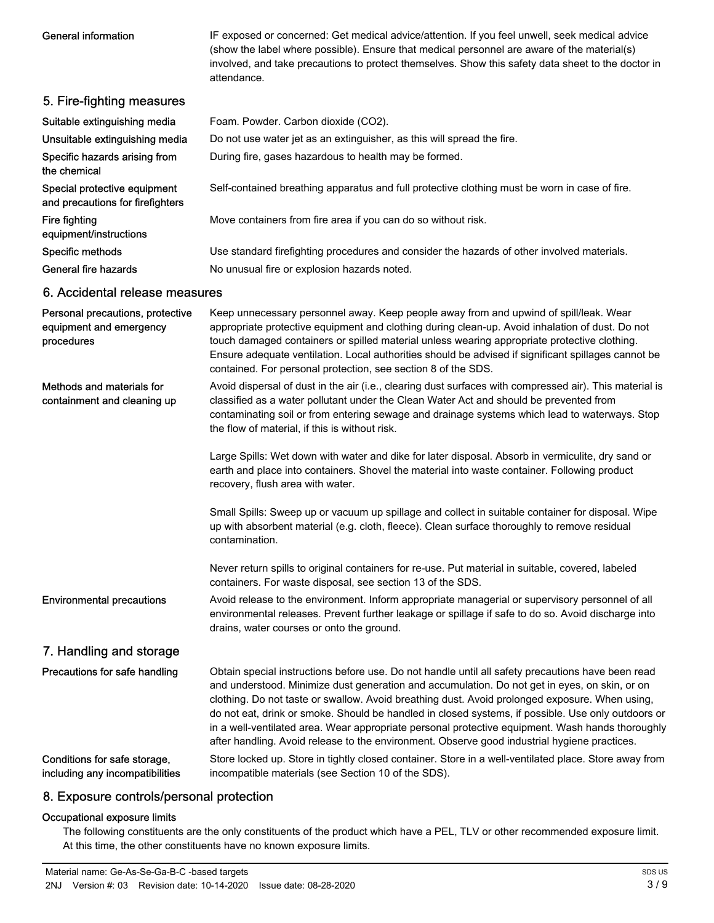IF exposed or concerned: Get medical advice/attention. If you feel unwell, seek medical advice (show the label where possible). Ensure that medical personnel are aware of the material(s) involved, and take precautions to protect themselves. Show this safety data sheet to the doctor in attendance.

|  |  |  | 5. Fire-fighting measures |
|--|--|--|---------------------------|
|--|--|--|---------------------------|

| Suitable extinguishing media                                     | Foam. Powder. Carbon dioxide (CO2).                                                                                                                                                      |
|------------------------------------------------------------------|------------------------------------------------------------------------------------------------------------------------------------------------------------------------------------------|
| Unsuitable extinguishing media                                   | Do not use water jet as an extinguisher, as this will spread the fire.                                                                                                                   |
| Specific hazards arising from<br>the chemical                    | During fire, gases hazardous to health may be formed.                                                                                                                                    |
| Special protective equipment<br>and precautions for firefighters | Self-contained breathing apparatus and full protective clothing must be worn in case of fire.                                                                                            |
| Fire fighting<br>equipment/instructions                          | Move containers from fire area if you can do so without risk.                                                                                                                            |
| Specific methods                                                 | Use standard firefighting procedures and consider the hazards of other involved materials.                                                                                               |
| General fire hazards                                             | No unusual fire or explosion hazards noted.                                                                                                                                              |
| 6. Accidental release measures                                   |                                                                                                                                                                                          |
| Personal precautions, protective<br>equipment and emergency      | Keep unnecessary personnel away. Keep people away from and upwind of spill/leak. Wear<br>appropriate protective equipment and clothing during clean-up. Avoid inhalation of dust. Do not |

| Personal precautions, protective<br>equipment and emergency<br>procedures | Keep unnecessary personnel away. Keep people away from and upwind of spill/leak. Wear<br>appropriate protective equipment and clothing during clean-up. Avoid inhalation of dust. Do not<br>touch damaged containers or spilled material unless wearing appropriate protective clothing.<br>Ensure adequate ventilation. Local authorities should be advised if significant spillages cannot be<br>contained. For personal protection, see section 8 of the SDS.                                                                                                                                               |
|---------------------------------------------------------------------------|----------------------------------------------------------------------------------------------------------------------------------------------------------------------------------------------------------------------------------------------------------------------------------------------------------------------------------------------------------------------------------------------------------------------------------------------------------------------------------------------------------------------------------------------------------------------------------------------------------------|
| Methods and materials for<br>containment and cleaning up                  | Avoid dispersal of dust in the air (i.e., clearing dust surfaces with compressed air). This material is<br>classified as a water pollutant under the Clean Water Act and should be prevented from<br>contaminating soil or from entering sewage and drainage systems which lead to waterways. Stop<br>the flow of material, if this is without risk.                                                                                                                                                                                                                                                           |
|                                                                           | Large Spills: Wet down with water and dike for later disposal. Absorb in vermiculite, dry sand or<br>earth and place into containers. Shovel the material into waste container. Following product<br>recovery, flush area with water.                                                                                                                                                                                                                                                                                                                                                                          |
|                                                                           | Small Spills: Sweep up or vacuum up spillage and collect in suitable container for disposal. Wipe<br>up with absorbent material (e.g. cloth, fleece). Clean surface thoroughly to remove residual<br>contamination.                                                                                                                                                                                                                                                                                                                                                                                            |
|                                                                           | Never return spills to original containers for re-use. Put material in suitable, covered, labeled<br>containers. For waste disposal, see section 13 of the SDS.                                                                                                                                                                                                                                                                                                                                                                                                                                                |
| <b>Environmental precautions</b>                                          | Avoid release to the environment. Inform appropriate managerial or supervisory personnel of all<br>environmental releases. Prevent further leakage or spillage if safe to do so. Avoid discharge into<br>drains, water courses or onto the ground.                                                                                                                                                                                                                                                                                                                                                             |
| 7. Handling and storage                                                   |                                                                                                                                                                                                                                                                                                                                                                                                                                                                                                                                                                                                                |
| Precautions for safe handling                                             | Obtain special instructions before use. Do not handle until all safety precautions have been read<br>and understood. Minimize dust generation and accumulation. Do not get in eyes, on skin, or on<br>clothing. Do not taste or swallow. Avoid breathing dust. Avoid prolonged exposure. When using,<br>do not eat, drink or smoke. Should be handled in closed systems, if possible. Use only outdoors or<br>in a well-ventilated area. Wear appropriate personal protective equipment. Wash hands thoroughly<br>after handling. Avoid release to the environment. Observe good industrial hygiene practices. |
| Conditions for safe storage,<br>including any incompatibilities           | Store locked up. Store in tightly closed container. Store in a well-ventilated place. Store away from<br>incompatible materials (see Section 10 of the SDS).                                                                                                                                                                                                                                                                                                                                                                                                                                                   |

## 8. Exposure controls/personal protection

#### Occupational exposure limits

The following constituents are the only constituents of the product which have a PEL, TLV or other recommended exposure limit. At this time, the other constituents have no known exposure limits.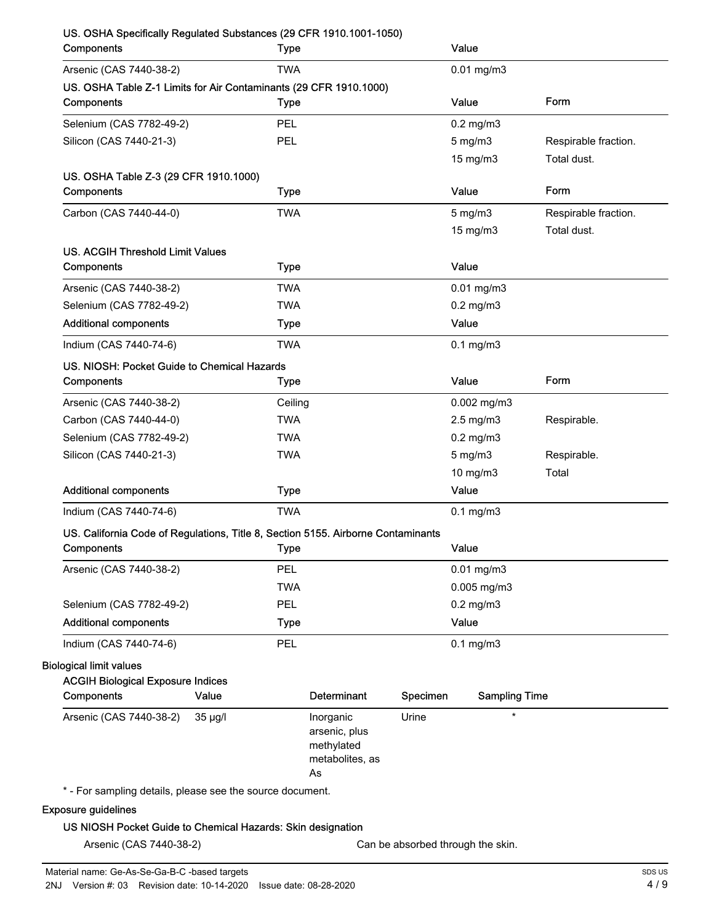| Components                                                                                     | <b>Type</b> |                                                             |          | Value                               |                      |
|------------------------------------------------------------------------------------------------|-------------|-------------------------------------------------------------|----------|-------------------------------------|----------------------|
| Arsenic (CAS 7440-38-2)                                                                        | <b>TWA</b>  |                                                             |          | $0.01$ mg/m $3$                     |                      |
| US. OSHA Table Z-1 Limits for Air Contaminants (29 CFR 1910.1000)                              |             |                                                             |          |                                     |                      |
| Components                                                                                     | <b>Type</b> |                                                             |          | Value                               | Form                 |
| Selenium (CAS 7782-49-2)                                                                       | <b>PEL</b>  |                                                             |          | $0.2$ mg/m $3$                      |                      |
| Silicon (CAS 7440-21-3)                                                                        | PEL         |                                                             |          | 5 mg/m3                             | Respirable fraction. |
|                                                                                                |             |                                                             |          | 15 mg/m3                            | Total dust.          |
| US. OSHA Table Z-3 (29 CFR 1910.1000)                                                          |             |                                                             |          |                                     |                      |
| Components                                                                                     | <b>Type</b> |                                                             |          | Value                               | Form                 |
| Carbon (CAS 7440-44-0)                                                                         | <b>TWA</b>  |                                                             |          | $5$ mg/m $3$                        | Respirable fraction. |
|                                                                                                |             |                                                             |          | 15 mg/m3                            | Total dust.          |
| <b>US. ACGIH Threshold Limit Values</b>                                                        |             |                                                             |          |                                     |                      |
| Components                                                                                     | <b>Type</b> |                                                             |          | Value                               |                      |
| Arsenic (CAS 7440-38-2)                                                                        | <b>TWA</b>  |                                                             |          | $0.01$ mg/m $3$                     |                      |
| Selenium (CAS 7782-49-2)                                                                       | <b>TWA</b>  |                                                             |          | $0.2$ mg/m $3$                      |                      |
| <b>Additional components</b>                                                                   | <b>Type</b> |                                                             |          | Value                               |                      |
| Indium (CAS 7440-74-6)                                                                         | <b>TWA</b>  |                                                             |          | $0.1$ mg/m $3$                      |                      |
| US. NIOSH: Pocket Guide to Chemical Hazards                                                    |             |                                                             |          |                                     |                      |
| Components                                                                                     | <b>Type</b> |                                                             |          | Value                               | Form                 |
| Arsenic (CAS 7440-38-2)                                                                        | Ceiling     |                                                             |          | $0.002$ mg/m3                       |                      |
| Carbon (CAS 7440-44-0)                                                                         | <b>TWA</b>  |                                                             |          | $2.5$ mg/m $3$                      | Respirable.          |
| Selenium (CAS 7782-49-2)                                                                       | <b>TWA</b>  |                                                             |          | $0.2$ mg/m $3$                      |                      |
| Silicon (CAS 7440-21-3)                                                                        | <b>TWA</b>  |                                                             |          | $5$ mg/m $3$                        | Respirable.          |
|                                                                                                |             |                                                             |          | 10 mg/m3                            | Total                |
| <b>Additional components</b>                                                                   | <b>Type</b> |                                                             |          | Value                               |                      |
| Indium (CAS 7440-74-6)                                                                         | <b>TWA</b>  |                                                             |          | $0.1$ mg/m $3$                      |                      |
|                                                                                                |             |                                                             |          |                                     |                      |
| US. California Code of Regulations, Title 8, Section 5155. Airborne Contaminants<br>Components | Type        |                                                             |          | Value                               |                      |
| Arsenic (CAS 7440-38-2)                                                                        | <b>PEL</b>  |                                                             |          |                                     |                      |
|                                                                                                | <b>TWA</b>  |                                                             |          | $0.01$ mg/m $3$<br>$0.005$ mg/m $3$ |                      |
| Selenium (CAS 7782-49-2)                                                                       | <b>PEL</b>  |                                                             |          | $0.2$ mg/m $3$                      |                      |
| <b>Additional components</b>                                                                   | <b>Type</b> |                                                             |          | Value                               |                      |
| Indium (CAS 7440-74-6)                                                                         | <b>PEL</b>  |                                                             |          | $0.1$ mg/m $3$                      |                      |
|                                                                                                |             |                                                             |          |                                     |                      |
| <b>Biological limit values</b>                                                                 |             |                                                             |          |                                     |                      |
| <b>ACGIH Biological Exposure Indices</b><br>Components<br>Value                                |             | Determinant                                                 | Specimen | <b>Sampling Time</b>                |                      |
| Arsenic (CAS 7440-38-2)<br>35 µg/l                                                             |             | Inorganic<br>arsenic, plus<br>methylated<br>metabolites, as | Urine    |                                     |                      |

## Exposure guidelines

## US NIOSH Pocket Guide to Chemical Hazards: Skin designation

Arsenic (CAS 7440-38-2) Can be absorbed through the skin.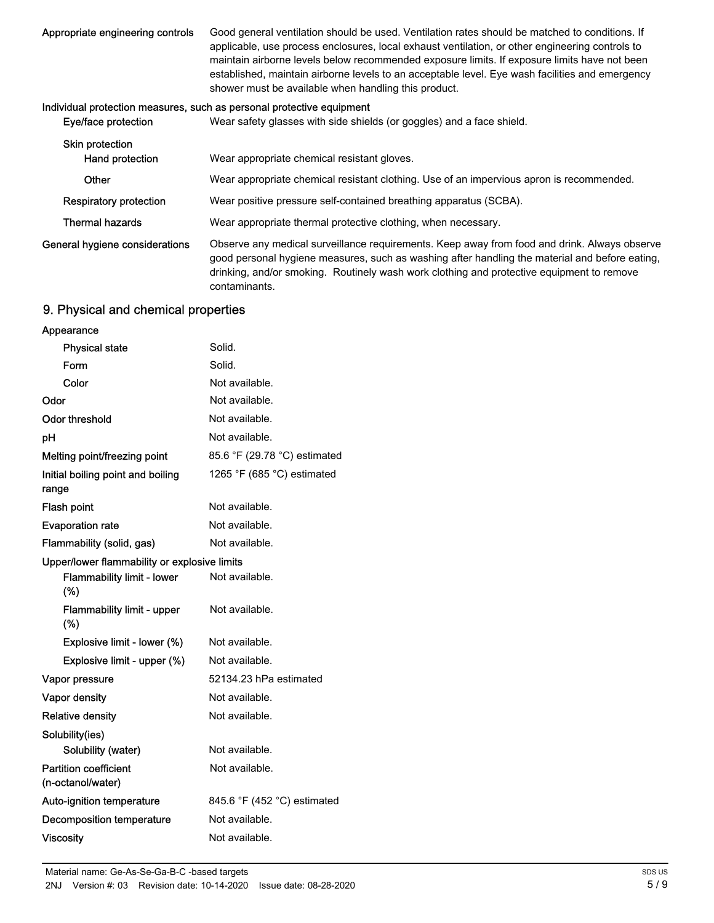Good general ventilation should be used. Ventilation rates should be matched to conditions. If applicable, use process enclosures, local exhaust ventilation, or other engineering controls to maintain airborne levels below recommended exposure limits. If exposure limits have not been established, maintain airborne levels to an acceptable level. Eye wash facilities and emergency shower must be available when handling this product. Appropriate engineering controls

#### Individual protection measures, such as personal protective equipment

| Eye/face protection                | Wear safety glasses with side shields (or goggles) and a face shield.                                                                                                                                                                                                                                        |
|------------------------------------|--------------------------------------------------------------------------------------------------------------------------------------------------------------------------------------------------------------------------------------------------------------------------------------------------------------|
| Skin protection<br>Hand protection | Wear appropriate chemical resistant gloves.                                                                                                                                                                                                                                                                  |
| Other                              | Wear appropriate chemical resistant clothing. Use of an impervious apron is recommended.                                                                                                                                                                                                                     |
| Respiratory protection             | Wear positive pressure self-contained breathing apparatus (SCBA).                                                                                                                                                                                                                                            |
| <b>Thermal hazards</b>             | Wear appropriate thermal protective clothing, when necessary.                                                                                                                                                                                                                                                |
| General hygiene considerations     | Observe any medical surveillance requirements. Keep away from food and drink. Always observe<br>good personal hygiene measures, such as washing after handling the material and before eating,<br>drinking, and/or smoking. Routinely wash work clothing and protective equipment to remove<br>contaminants. |

## 9. Physical and chemical properties

| Appearance                                        |                              |
|---------------------------------------------------|------------------------------|
| <b>Physical state</b>                             | Solid.                       |
| Form                                              | Solid.                       |
| Color                                             | Not available.               |
| Odor                                              | Not available.               |
| Odor threshold                                    | Not available.               |
| рH                                                | Not available.               |
| Melting point/freezing point                      | 85.6 °F (29.78 °C) estimated |
| Initial boiling point and boiling<br>range        | 1265 °F (685 °C) estimated   |
| <b>Flash point</b>                                | Not available.               |
| <b>Evaporation rate</b>                           | Not available.               |
| Flammability (solid, gas)                         | Not available.               |
| Upper/lower flammability or explosive limits      |                              |
| <b>Flammability limit - lower</b><br>$(\%)$       | Not available.               |
| <b>Flammability limit - upper</b><br>(%)          | Not available.               |
| Explosive limit - lower (%)                       | Not available.               |
| Explosive limit - upper (%)                       | Not available.               |
| Vapor pressure                                    | 52134.23 hPa estimated       |
| Vapor density                                     | Not available.               |
| <b>Relative density</b>                           | Not available.               |
| Solubility(ies)                                   |                              |
| Solubility (water)                                | Not available.               |
| <b>Partition coefficient</b><br>(n-octanol/water) | Not available.               |
| Auto-ignition temperature                         | 845.6 °F (452 °C) estimated  |
| <b>Decomposition temperature</b>                  | Not available.               |
| <b>Viscosity</b>                                  | Not available.               |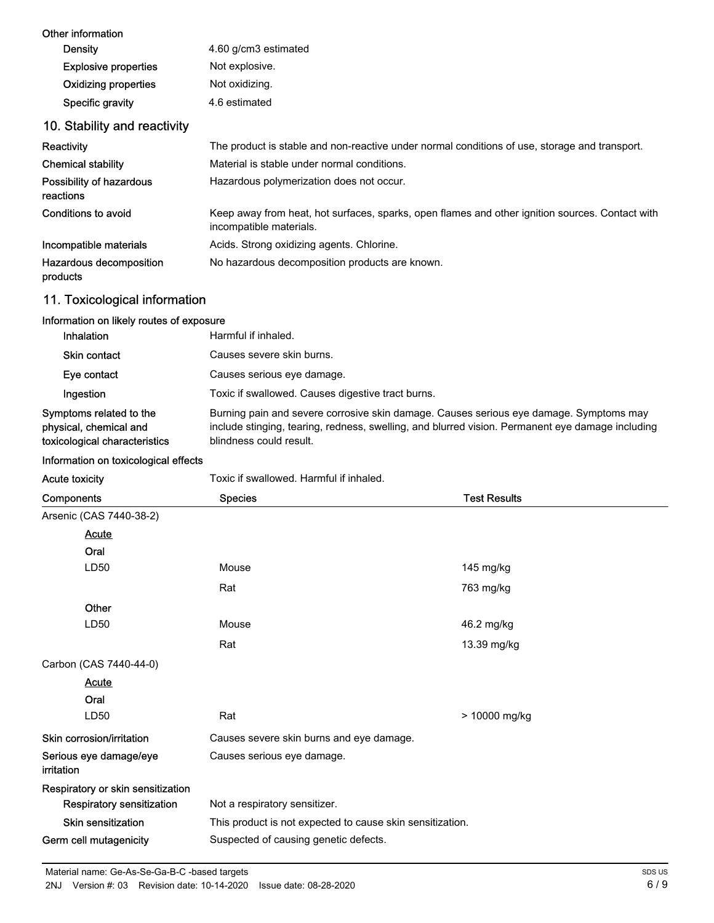| Other information                     |                                                                                                                            |
|---------------------------------------|----------------------------------------------------------------------------------------------------------------------------|
| Density                               | 4.60 g/cm3 estimated                                                                                                       |
| <b>Explosive properties</b>           | Not explosive.                                                                                                             |
| Oxidizing properties                  | Not oxidizing.                                                                                                             |
| Specific gravity                      | 4.6 estimated                                                                                                              |
| 10. Stability and reactivity          |                                                                                                                            |
| <b>Reactivity</b>                     | The product is stable and non-reactive under normal conditions of use, storage and transport.                              |
| <b>Chemical stability</b>             | Material is stable under normal conditions.                                                                                |
| Possibility of hazardous<br>reactions | Hazardous polymerization does not occur.                                                                                   |
| Conditions to avoid                   | Keep away from heat, hot surfaces, sparks, open flames and other ignition sources. Contact with<br>incompatible materials. |
| Incompatible materials                | Acids. Strong oxidizing agents. Chlorine.                                                                                  |
| Hazardous decomposition<br>products   | No hazardous decomposition products are known.                                                                             |

## 11. Toxicological information

## Information on likely routes of exposure

| <b>Inhalation</b>                                                                  | Harmful if inhaled.                                                                                                                                                                                                   |
|------------------------------------------------------------------------------------|-----------------------------------------------------------------------------------------------------------------------------------------------------------------------------------------------------------------------|
| <b>Skin contact</b>                                                                | Causes severe skin burns.                                                                                                                                                                                             |
| Eye contact                                                                        | Causes serious eye damage.                                                                                                                                                                                            |
| Ingestion                                                                          | Toxic if swallowed. Causes digestive tract burns.                                                                                                                                                                     |
| Symptoms related to the<br>physical, chemical and<br>toxicological characteristics | Burning pain and severe corrosive skin damage. Causes serious eye damage. Symptoms may<br>include stinging, tearing, redness, swelling, and blurred vision. Permanent eye damage including<br>blindness could result. |

## Information on toxicological effects

Acute toxicity **Toxic if swallowed. Harmful if inhaled.** 

| Components                           | <b>Species</b>                                            | <b>Test Results</b> |  |
|--------------------------------------|-----------------------------------------------------------|---------------------|--|
| Arsenic (CAS 7440-38-2)              |                                                           |                     |  |
| <b>Acute</b>                         |                                                           |                     |  |
| Oral                                 |                                                           |                     |  |
| LD <sub>50</sub>                     | Mouse                                                     | 145 mg/kg           |  |
|                                      | Rat                                                       | 763 mg/kg           |  |
| Other                                |                                                           |                     |  |
| LD50                                 | Mouse                                                     | 46.2 mg/kg          |  |
|                                      | Rat                                                       | 13.39 mg/kg         |  |
| Carbon (CAS 7440-44-0)               |                                                           |                     |  |
| <b>Acute</b>                         |                                                           |                     |  |
| Oral                                 |                                                           |                     |  |
| LD50                                 | Rat                                                       | > 10000 mg/kg       |  |
| Skin corrosion/irritation            | Causes severe skin burns and eye damage.                  |                     |  |
| Serious eye damage/eye<br>irritation | Causes serious eye damage.                                |                     |  |
| Respiratory or skin sensitization    |                                                           |                     |  |
| Respiratory sensitization            | Not a respiratory sensitizer.                             |                     |  |
| Skin sensitization                   | This product is not expected to cause skin sensitization. |                     |  |
| Germ cell mutagenicity               | Suspected of causing genetic defects.                     |                     |  |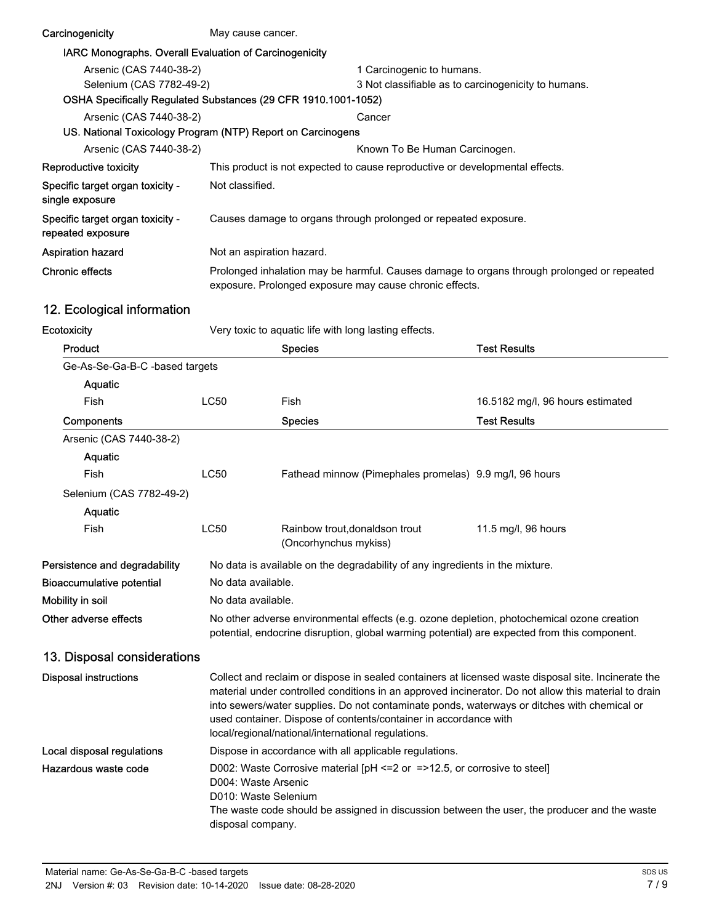| Carcinogenicity                                             | May cause cancer.                                                            |                                                                                            |  |  |
|-------------------------------------------------------------|------------------------------------------------------------------------------|--------------------------------------------------------------------------------------------|--|--|
| IARC Monographs. Overall Evaluation of Carcinogenicity      |                                                                              |                                                                                            |  |  |
| Arsenic (CAS 7440-38-2)                                     |                                                                              | 1 Carcinogenic to humans.                                                                  |  |  |
| Selenium (CAS 7782-49-2)                                    |                                                                              | 3 Not classifiable as to carcinogenicity to humans.                                        |  |  |
|                                                             | OSHA Specifically Regulated Substances (29 CFR 1910.1001-1052)               |                                                                                            |  |  |
| Arsenic (CAS 7440-38-2)                                     |                                                                              | Cancer                                                                                     |  |  |
| US. National Toxicology Program (NTP) Report on Carcinogens |                                                                              |                                                                                            |  |  |
| Arsenic (CAS 7440-38-2)                                     |                                                                              | Known To Be Human Carcinogen.                                                              |  |  |
| Reproductive toxicity                                       | This product is not expected to cause reproductive or developmental effects. |                                                                                            |  |  |
| Specific target organ toxicity -<br>single exposure         | Not classified.                                                              |                                                                                            |  |  |
| Specific target organ toxicity -<br>repeated exposure       | Causes damage to organs through prolonged or repeated exposure.              |                                                                                            |  |  |
| <b>Aspiration hazard</b>                                    | Not an aspiration hazard.                                                    |                                                                                            |  |  |
| <b>Chronic effects</b>                                      | exposure. Prolonged exposure may cause chronic effects.                      | Prolonged inhalation may be harmful. Causes damage to organs through prolonged or repeated |  |  |

## 12. Ecological information

Ecotoxicity **Ecotoxicity** Very toxic to aquatic life with long lasting effects.

| Product                          |             | <b>Species</b>                                                                                                                                                                                                                                                                                                                                                                                                                       | <b>Test Results</b>              |  |  |  |
|----------------------------------|-------------|--------------------------------------------------------------------------------------------------------------------------------------------------------------------------------------------------------------------------------------------------------------------------------------------------------------------------------------------------------------------------------------------------------------------------------------|----------------------------------|--|--|--|
| Ge-As-Se-Ga-B-C -based targets   |             |                                                                                                                                                                                                                                                                                                                                                                                                                                      |                                  |  |  |  |
| <b>Aquatic</b>                   |             |                                                                                                                                                                                                                                                                                                                                                                                                                                      |                                  |  |  |  |
| Fish                             | <b>LC50</b> | Fish                                                                                                                                                                                                                                                                                                                                                                                                                                 | 16.5182 mg/l, 96 hours estimated |  |  |  |
| Components                       |             | <b>Species</b>                                                                                                                                                                                                                                                                                                                                                                                                                       | <b>Test Results</b>              |  |  |  |
| Arsenic (CAS 7440-38-2)          |             |                                                                                                                                                                                                                                                                                                                                                                                                                                      |                                  |  |  |  |
| Aquatic                          |             |                                                                                                                                                                                                                                                                                                                                                                                                                                      |                                  |  |  |  |
| <b>Fish</b>                      | <b>LC50</b> | Fathead minnow (Pimephales promelas) 9.9 mg/l, 96 hours                                                                                                                                                                                                                                                                                                                                                                              |                                  |  |  |  |
| Selenium (CAS 7782-49-2)         |             |                                                                                                                                                                                                                                                                                                                                                                                                                                      |                                  |  |  |  |
| Aquatic                          |             |                                                                                                                                                                                                                                                                                                                                                                                                                                      |                                  |  |  |  |
| Fish                             | <b>LC50</b> | Rainbow trout, donaldson trout<br>(Oncorhynchus mykiss)                                                                                                                                                                                                                                                                                                                                                                              | 11.5 mg/l, 96 hours              |  |  |  |
| Persistence and degradability    |             | No data is available on the degradability of any ingredients in the mixture.                                                                                                                                                                                                                                                                                                                                                         |                                  |  |  |  |
| <b>Bioaccumulative potential</b> |             | No data available.                                                                                                                                                                                                                                                                                                                                                                                                                   |                                  |  |  |  |
| Mobility in soil                 |             | No data available.                                                                                                                                                                                                                                                                                                                                                                                                                   |                                  |  |  |  |
| Other adverse effects            |             | No other adverse environmental effects (e.g. ozone depletion, photochemical ozone creation<br>potential, endocrine disruption, global warming potential) are expected from this component.                                                                                                                                                                                                                                           |                                  |  |  |  |
| 13. Disposal considerations      |             |                                                                                                                                                                                                                                                                                                                                                                                                                                      |                                  |  |  |  |
| <b>Disposal instructions</b>     |             | Collect and reclaim or dispose in sealed containers at licensed waste disposal site. Incinerate the<br>material under controlled conditions in an approved incinerator. Do not allow this material to drain<br>into sewers/water supplies. Do not contaminate ponds, waterways or ditches with chemical or<br>used container. Dispose of contents/container in accordance with<br>local/regional/national/international regulations. |                                  |  |  |  |
| Local disposal regulations       |             | Dispose in accordance with all applicable regulations.                                                                                                                                                                                                                                                                                                                                                                               |                                  |  |  |  |
| Hazardous waste code             |             | D002: Waste Corrosive material [pH <= 2 or = >12.5, or corrosive to steel]<br>D004: Waste Arsenic<br>D010: Waste Selenium<br>The waste code should be assigned in discussion between the user, the producer and the waste<br>disposal company.                                                                                                                                                                                       |                                  |  |  |  |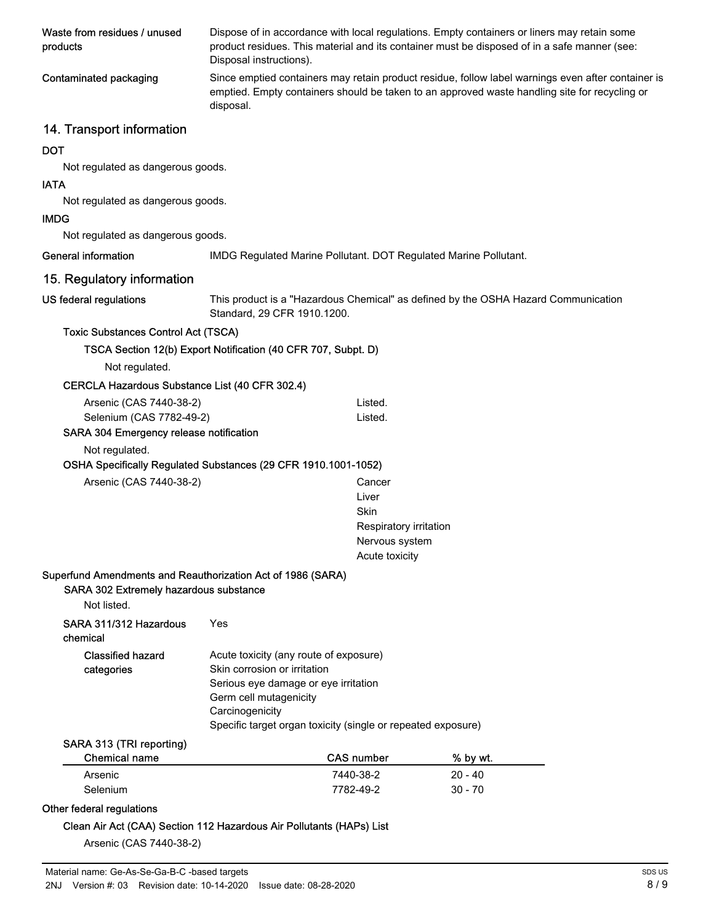| Waste from residues / unused<br>products                                                                             | Dispose of in accordance with local regulations. Empty containers or liners may retain some<br>product residues. This material and its container must be disposed of in a safe manner (see:<br>Disposal instructions).      |                        |                                                                                                                                                                                                     |  |
|----------------------------------------------------------------------------------------------------------------------|-----------------------------------------------------------------------------------------------------------------------------------------------------------------------------------------------------------------------------|------------------------|-----------------------------------------------------------------------------------------------------------------------------------------------------------------------------------------------------|--|
| Contaminated packaging                                                                                               | disposal.                                                                                                                                                                                                                   |                        | Since emptied containers may retain product residue, follow label warnings even after container is<br>emptied. Empty containers should be taken to an approved waste handling site for recycling or |  |
| 14. Transport information                                                                                            |                                                                                                                                                                                                                             |                        |                                                                                                                                                                                                     |  |
| DOT                                                                                                                  |                                                                                                                                                                                                                             |                        |                                                                                                                                                                                                     |  |
| Not regulated as dangerous goods.                                                                                    |                                                                                                                                                                                                                             |                        |                                                                                                                                                                                                     |  |
| <b>IATA</b>                                                                                                          |                                                                                                                                                                                                                             |                        |                                                                                                                                                                                                     |  |
| Not regulated as dangerous goods.                                                                                    |                                                                                                                                                                                                                             |                        |                                                                                                                                                                                                     |  |
| <b>IMDG</b>                                                                                                          |                                                                                                                                                                                                                             |                        |                                                                                                                                                                                                     |  |
| Not regulated as dangerous goods.                                                                                    |                                                                                                                                                                                                                             |                        |                                                                                                                                                                                                     |  |
| <b>General information</b>                                                                                           | IMDG Regulated Marine Pollutant. DOT Regulated Marine Pollutant.                                                                                                                                                            |                        |                                                                                                                                                                                                     |  |
| 15. Regulatory information                                                                                           |                                                                                                                                                                                                                             |                        |                                                                                                                                                                                                     |  |
| US federal regulations                                                                                               | This product is a "Hazardous Chemical" as defined by the OSHA Hazard Communication<br>Standard, 29 CFR 1910.1200.                                                                                                           |                        |                                                                                                                                                                                                     |  |
| <b>Toxic Substances Control Act (TSCA)</b>                                                                           |                                                                                                                                                                                                                             |                        |                                                                                                                                                                                                     |  |
|                                                                                                                      | TSCA Section 12(b) Export Notification (40 CFR 707, Subpt. D)                                                                                                                                                               |                        |                                                                                                                                                                                                     |  |
| Not regulated.                                                                                                       |                                                                                                                                                                                                                             |                        |                                                                                                                                                                                                     |  |
| CERCLA Hazardous Substance List (40 CFR 302.4)                                                                       |                                                                                                                                                                                                                             |                        |                                                                                                                                                                                                     |  |
| Arsenic (CAS 7440-38-2)                                                                                              |                                                                                                                                                                                                                             | Listed.                |                                                                                                                                                                                                     |  |
| Selenium (CAS 7782-49-2)                                                                                             |                                                                                                                                                                                                                             | Listed.                |                                                                                                                                                                                                     |  |
| SARA 304 Emergency release notification                                                                              |                                                                                                                                                                                                                             |                        |                                                                                                                                                                                                     |  |
| Not regulated.                                                                                                       |                                                                                                                                                                                                                             |                        |                                                                                                                                                                                                     |  |
| Arsenic (CAS 7440-38-2)                                                                                              | OSHA Specifically Regulated Substances (29 CFR 1910.1001-1052)                                                                                                                                                              | Cancer                 |                                                                                                                                                                                                     |  |
|                                                                                                                      |                                                                                                                                                                                                                             | Liver                  |                                                                                                                                                                                                     |  |
|                                                                                                                      |                                                                                                                                                                                                                             | <b>Skin</b>            |                                                                                                                                                                                                     |  |
|                                                                                                                      |                                                                                                                                                                                                                             | Respiratory irritation |                                                                                                                                                                                                     |  |
|                                                                                                                      |                                                                                                                                                                                                                             | Nervous system         |                                                                                                                                                                                                     |  |
| Superfund Amendments and Reauthorization Act of 1986 (SARA)<br>SARA 302 Extremely hazardous substance<br>Not listed. |                                                                                                                                                                                                                             | Acute toxicity         |                                                                                                                                                                                                     |  |
| SARA 311/312 Hazardous<br>chemical                                                                                   | Yes                                                                                                                                                                                                                         |                        |                                                                                                                                                                                                     |  |
| <b>Classified hazard</b><br>categories                                                                               | Acute toxicity (any route of exposure)<br>Skin corrosion or irritation<br>Serious eye damage or eye irritation<br>Germ cell mutagenicity<br>Carcinogenicity<br>Specific target organ toxicity (single or repeated exposure) |                        |                                                                                                                                                                                                     |  |
| SARA 313 (TRI reporting)<br><b>Chemical name</b>                                                                     |                                                                                                                                                                                                                             | <b>CAS number</b>      | % by wt.                                                                                                                                                                                            |  |
| Arsenic                                                                                                              |                                                                                                                                                                                                                             | 7440-38-2              | $20 - 40$                                                                                                                                                                                           |  |
| Selenium                                                                                                             |                                                                                                                                                                                                                             | 7782-49-2              | $30 - 70$                                                                                                                                                                                           |  |
| Other federal regulations                                                                                            |                                                                                                                                                                                                                             |                        |                                                                                                                                                                                                     |  |
|                                                                                                                      | Clean Air Act (CAA) Section 112 Hazardous Air Pollutants (HAPs) List                                                                                                                                                        |                        |                                                                                                                                                                                                     |  |

Arsenic (CAS 7440-38-2)